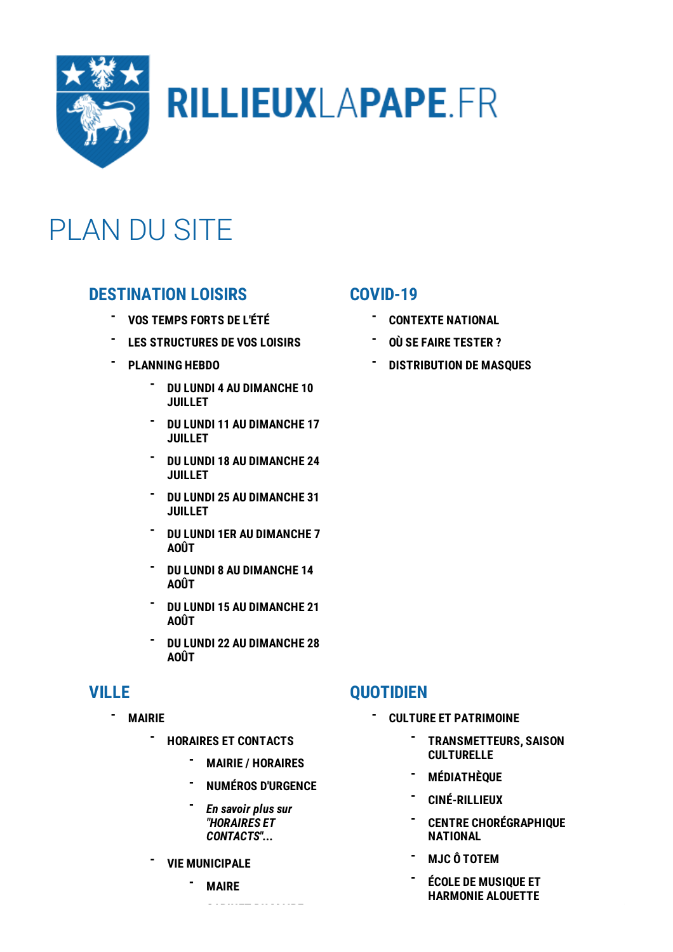

# **RILLIEUXLAPAPE.FR**

## PLAN DU SITE

## **[DESTINATION](/destination-loisirs-1899.html) LOISIRS**

- **VOS [TEMPS](/destination-loisirs/vos-temps-forts-de-l-ete-1902.html) FORTS DE L'ÉTÉ -**
- **LES [STRUCTURES](/destination-loisirs/les-structures-de-vos-loisirs-1900.html) DE VOS LOISIRS -**
- **[PLANNING](/destination-loisirs/planning-hebdo-1907.html) HEBDO -**
	- **DU LUNDI 4 AU [DIMANCHE](/planning-hebdo/du-lundi-4-au-dimanche-10-juillet-1911.html) 10 JUILLET -**
	- **DU LUNDI 11 AU [DIMANCHE](/planning-hebdo/du-lundi-11-au-dimanche-17-juillet-1909.html) 17 JUILLET -**
	- **DU LUNDI 18 AU [DIMANCHE](/planning-hebdo/du-lundi-18-au-dimanche-24-juillet-2221.html) 24 JUILLET -**
	- **DU LUNDI 25 AU [DIMANCHE](/planning-hebdo/du-lundi-25-au-dimanche-31-juillet-2223.html) 31 JUILLET -**
	- **DU LUNDI 1ER AU [DIMANCHE](/planning-hebdo/du-lundi-1er-au-dimanche-7-aout-2222.html) 7 AOÛT -**
	- **DU LUNDI 8 AU [DIMANCHE](/planning-hebdo/du-lundi-8-au-dimanche-14-aout-2224.html) 14 AOÛT -**
	- **DU LUNDI 15 AU [DIMANCHE](/planning-hebdo/du-lundi-15-au-dimanche-21-aout-2225.html) 21 AOÛT -**
	- **DU LUNDI 22 AU [DIMANCHE](/planning-hebdo/du-lundi-22-au-dimanche-28-aout-2226.html) 28 AOÛT -**

## **[VILLE](/ville-118.html)**

**-**

- **[MAIRIE](/ville/mairie-126.html)**
	- **HORAIRES ET [CONTACTS](/mairie/horaires-et-contacts-508.html) -**
		- **MAIRIE / [HORAIRES](/horaires-et-contacts/mairie-horaires-512.html) -**
		- **NUMÉROS [D'URGENCE](/horaires-et-contacts/numeros-d-urgence-511.html) -**
		- *En savoir plus sur "HORAIRES ET [CONTACTS"...](/mairie/horaires-et-contacts-508.html)* **-**
	- **VIE [MUNICIPALE](/mairie/vie-municipale-154.html) -**
		- **[MAIRE](/vie-municipale/maire-161.html) -**

**CABINET DU MAIRE**

### **[COVID-19](/covid-19-1562.html)**

- **[CONTEXTE](/covid-19/contexte-national-1624.html) NATIONAL -**
- **OÙ SE FAIRE [TESTER](/covid-19/ou-se-faire-tester-2150.html) ? -**
- **[DISTRIBUTION](/covid-19/distribution-de-masques-1619.html) DE MASQUES -**

### **[QUOTIDIEN](/quotidien-167.html)**

**-**

#### **CULTURE ET [PATRIMOINE](/quotidien/culture-et-patrimoine-399.html)**

- **[TRANSMETTEURS,](/culture-et-patrimoine/transmetteurs-saison-culturelle-420.html) SAISON CULTURELLE -**
- **[MÉDIATHÈQUE](/culture-et-patrimoine/l-echappee-417.html) -**
- **[CINÉ-RILLIEUX](/culture-et-patrimoine/cine-rillieux-416.html) -**
- **CENTRE [CHORÉGRAPHIQUE](/culture-et-patrimoine/centre-choregraphique-national-415.html) NATIONAL -**
- **- MJC Ô [TOTEM](/culture-et-patrimoine/mjc-o-totem-414.html)**
- **ÉCOLE DE MUSIQUE ET [HARMONIE](/culture-et-patrimoine/ecole-de-musique-et-harmonie-alouette-413.html) ALOUETTE -**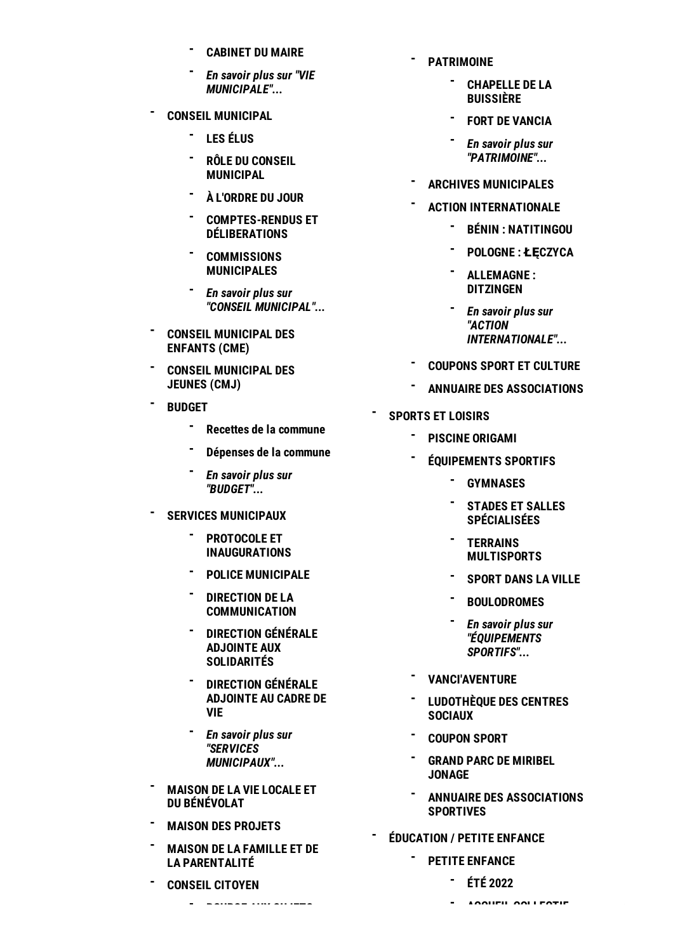- **[CABINET](/vie-municipale/cabinet-du-maire-160.html) DU MAIRE -**
- *En savoir plus sur "VIE [MUNICIPALE"...](/mairie/vie-municipale-154.html)* **-**
- **CONSEIL [MUNICIPAL](/mairie/conseil-municipal-149.html) -**
	- **LES [ÉLUS](/conseil-municipal/elus-2100.html) -**
	- **RÔLE DU CONSEIL [MUNICIPAL](/conseil-municipal/role-du-conseil-municipal-153.html) -**
	- **À [L'ORDRE](/conseil-municipal/a-l-ordre-du-jour-152.html) DU JOUR -**
	- **[COMPTES-RENDUS](/conseil-municipal/comptes-rendus-et-deliberations-151.html) ET - DÉLIBERATIONS**
	- **[COMMISSIONS](/conseil-municipal/les-commissions-municipales-150.html) MUNICIPALES -**
	- *En savoir plus sur "CONSEIL [MUNICIPAL"...](/mairie/conseil-municipal-149.html)* **-**
- **CONSEIL [MUNICIPAL](/mairie/conseil-municipal-des-enfants-cme-148.html) DES ENFANTS (CME) -**
- **CONSEIL [MUNICIPAL](/mairie/conseil-municipal-des-jeunes-cmj-1367.html) DES JEUNES (CMJ) -**
- **[BUDGET](/mairie/budget-144.html) -**
	- **Recettes de la [commune](/budget/recettes-de-la-commune-146.html) -**
	- **[Dépenses](/budget/depenses-de-la-commune-145.html) de la commune -**
	- *En savoir plus sur ["BUDGET"...](/mairie/budget-144.html)* **-**
- **SERVICES [MUNICIPAUX](/mairie/services-municipaux-137.html) -**
	- **PROTOCOLE ET [INAUGURATIONS](/services-municipaux/protocole-et-inaugurations-685.html) -**
	- **POLICE [MUNICIPALE](/services-municipaux/la-police-municipale-143.html) -**
	- **DIRECTION DE LA [COMMUNICATION](/services-municipaux/direction-de-la-communication-142.html) -**
	- **DIRECTION GÉNÉRALE ADJOINTE AUX [SOLIDARITÉS](/services-municipaux/direction-generale-adjointe-aux-solidarites-626.html) -**
	- **[DIRECTION](/services-municipaux/direction-generale-adjointe-au-cadre-de-vie-139.html) GÉNÉRALE ADJOINTE AU CADRE DE VIE -**
	- *En savoir plus sur "SERVICES [MUNICIPAUX"...](/mairie/services-municipaux-137.html)* **-**
- **MAISON DE LA VIE LOCALE ET DU [BÉNÉVOLAT](/mairie/maison-de-la-vie-locale-et-du-benevolat-2177.html) -**
- **MAISON DES [PROJETS](/mairie/maison-des-projets-610.html) -**
- **MAISON DE LA FAMILLE ET DE LA [PARENTALITÉ](/mairie/maison-de-la-famille-et-de-la-parentalite-1452.html) -**
- **[CONSEIL](/mairie/conseil-citoyen-133.html) CITOYEN -**
	- **BOURSE AUX SUJETS -**
- **[PATRIMOINE](/culture-et-patrimoine/patrimoine-409.html) -**
	- **[CHAPELLE](/patrimoine/chapelle-de-la-buissiere-411.html) DE LA BUISSIÈRE -**
	- **- FORT DE [VANCIA](/patrimoine/fort-de-vancia-410.html)**
	- *En savoir plus sur* **-** *["PATRIMOINE"...](/culture-et-patrimoine/patrimoine-409.html)*
- **ARCHIVES [MUNICIPALES](/culture-et-patrimoine/archives-municipales-408.html) -**
- **ACTION [INTERNATIONALE](/culture-et-patrimoine/action-internationale-404.html) -**
	- **BÉNIN : [NATITINGOU](/action-internationale/benin-natitingou-407.html) -**
	- **- [POLOGNE](/action-internationale/pologne-leczyca-406.html) : ŁĘCZYCA**
	- **[ALLEMAGNE](/action-internationale/allemagne-ditzingen-405.html) : DITZINGEN -**
	- *En savoir plus sur "ACTION [INTERNATIONALE"...](/culture-et-patrimoine/action-internationale-404.html)* **-**
- **[COUPONS](/culture-et-patrimoine/coupons-sport-et-culture-402.html) SPORT ET CULTURE -**
- **ANNUAIRE DES [ASSOCIATIONS](/culture-et-patrimoine/annuaire-des-associations-400.html) -**
- **[SPORTS](/quotidien/sports-et-loisirs-382.html) ET LOISIRS**

**-**

**-**

- **PISCINE [ORIGAMI](/sports-et-loisirs/piscine-origami-398.html) -**
- **[ÉQUIPEMENTS](/sports-et-loisirs/equipements-sportifs-391.html) SPORTIFS -**
	- **[GYMNASES](/equipements-sportifs/gymnases-397.html) -**
	- **STADES ET SALLES [SPÉCIALISÉES](/equipements-sportifs/stades-et-salles-specialisees-396.html) -**
	- **TERRAINS [MULTISPORTS](/equipements-sportifs/terrains-multisports-394.html) -**
	- **[SPORT](/equipements-sportifs/sport-dans-la-ville-395.html) DANS LA VILLE -**
	- **[BOULODROMES](/equipements-sportifs/boulodromes-393.html) -**
	- *En savoir plus sur ["ÉQUIPEMENTS](/sports-et-loisirs/equipements-sportifs-391.html) SPORTIFS"...* **-**
- **[VANCI'AVENTURE](/sports-et-loisirs/vanci-aventure-390.html) -**
- **[LUDOTHÈQUE](/sports-et-loisirs/ludotheque-des-centres-sociaux-389.html) DES CENTRES SOCIAUX -**
- **[COUPON](/sports-et-loisirs/coupons-sport-et-culture-385.html) SPORT -**
- **GRAND PARC DE [MIRIBEL](/sports-et-loisirs/grand-parc-de-miribel-jonage-387.html) JONAGE -**
- **ANNUAIRE DES [ASSOCIATIONS](/sports-et-loisirs/annuaire-des-associations-sportives-383.html) SPORTIVES -**
- **[ÉDUCATION](/quotidien/education-petite-enfance-342.html) / PETITE ENFANCE**
	- **PETITE [ENFANCE](/education-petite-enfance/la-petite-enfance-a-rillieux-la-pape-374.html) -**
		- **ÉTÉ [2022](/la-petite-enfance-a-rillieux-la-pape/ete-2022-2129.html) -**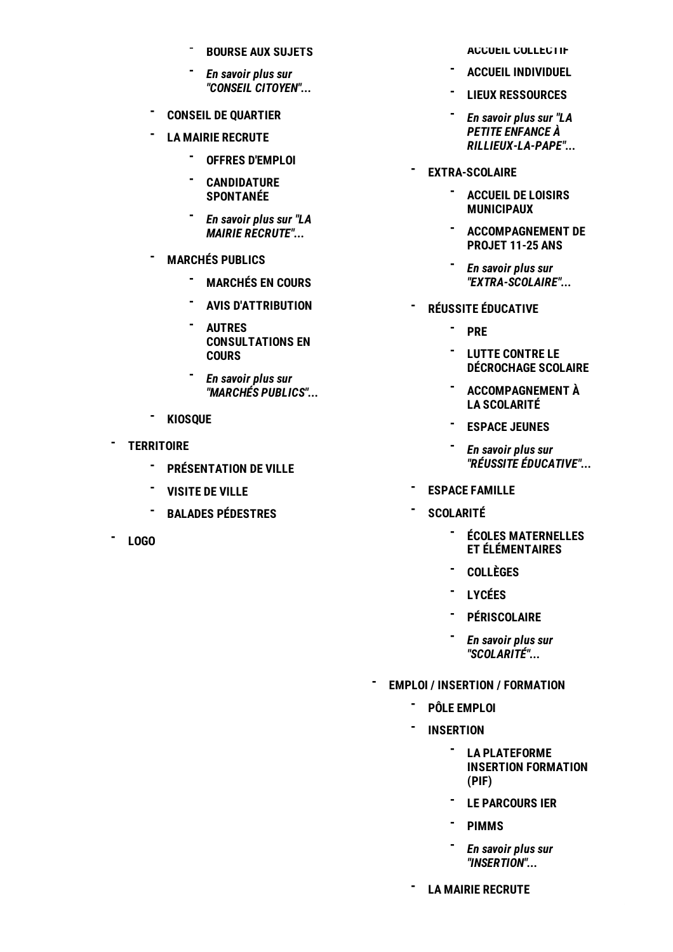- **[BOURSE](/conseil-citoyen/bourse-aux-sujets-134.html) AUX SUJETS -**
- *En savoir plus sur "CONSEIL [CITOYEN"...](/mairie/conseil-citoyen-133.html)* **-**
- **CONSEIL DE [QUARTIER](/mairie/conseil-de-quartier-2111.html) -**
- **LA MAIRIE [RECRUTE](/mairie/la-mairie-recrute-129.html) -**
	- **OFFRES [D'EMPLOI](/la-mairie-recrute/les-offres-d-emploi-113.html) -**
	- **[CANDIDATURE](/la-mairie-recrute/candidature-spontanee-164.html) SPONTANÉE -**
	- *En savoir plus sur "LA* **-** *MAIRIE [RECRUTE"...](/mairie/la-mairie-recrute-129.html)*
- **[MARCHÉS](/mairie/marches-publics-667.html) PUBLICS -**
	- **[MARCHÉS](/marches-publics/marches-en-cours-427.html) EN COURS -**
	- **- AVIS [D'ATTRIBUTION](/marches-publics/avis-d-attribution-666.html)**
	- **AUTRES [CONSULTATIONS](/marches-publics/autres-consultations-en-cours-2148.html) EN COURS -**
	- *En savoir plus sur "MARCHÉS [PUBLICS"...](/mairie/marches-publics-667.html)* **-**
- **[KIOSQUE](/mairie/kiosque-127.html) -**
- **[TERRITOIRE](/ville/territoire-119.html) -**
	- **[PRÉSENTATION](/territoire/rillieux-la-pape-une-ville-en-transition-125.html) DE VILLE -**
	- **[VISITE](/territoire/tous-a-bord-du-bus-pour-decouvrir-la-ville-122.html) DE VILLE -**
	- **BALADES [PÉDESTRES](/territoire/rien-de-tel-qu-une-bonne-balade-pour-s-aerer-la-tete-120.html) -**
- **- [LOGO](/ville/logo-2086.html)**

**ACCUEIL [COLLECTIF](/la-petite-enfance-a-rillieux-la-pape/accueil-collectif-380.html)**

- **ACCUEIL [INDIVIDUEL](/la-petite-enfance-a-rillieux-la-pape/accueil-individuel-378.html) -**
- **LIEUX [RESSOURCES](/la-petite-enfance-a-rillieux-la-pape/lieux-ressources-376.html) -**
- *En savoir plus sur "LA PETITE ENFANCE À [RILLIEUX-LA-PAPE"...](/education-petite-enfance/la-petite-enfance-a-rillieux-la-pape-374.html)* **-**
- **[EXTRA-SCOLAIRE](/education-petite-enfance/extra-scolaire-353.html) -**
	- **ACCUEIL DE LOISIRS - [MUNICIPAUX](/extra-scolaire/accueil-de-loisirs-municipaux-359.html)**
	- **[ACCOMPAGNEMENT](/extra-scolaire/accompagnement-de-projet-11-25-ans-356.html) DE PROJET 11-25 ANS -**
	- *En savoir plus sur* **-** *["EXTRA-SCOLAIRE"...](/education-petite-enfance/extra-scolaire-353.html)*
- **RÉUSSITE [ÉDUCATIVE](/education-petite-enfance/reussite-educative-344.html) -**
	- **[PRE](/reussite-educative/programme-de-reussite-educative-352.html) -**
	- **LUTTE CONTRE LE [DÉCROCHAGE](/reussite-educative/lutte-contre-le-decrochage-scolaire-349.html) SCOLAIRE -**
	- **[ACCOMPAGNEMENT](/reussite-educative/accompagnement-a-la-scolarite-345.html) À - LA SCOLARITÉ**
	- **[ESPACE](/reussite-educative/espace-jeunes-574.html) JEUNES -**
	- *En savoir plus sur* **-** *"RÉUSSITE [ÉDUCATIVE"...](/education-petite-enfance/reussite-educative-344.html)*
- **ESPACE [FAMILLE](/education-petite-enfance/espace-famille-375.html) -**
- **[SCOLARITÉ](/education-petite-enfance/scolarite-360.html) -**
	- **ÉCOLES [MATERNELLES](/scolarite/ecoles-maternelles-et-elementaires-366.html) ET ÉLÉMENTAIRES -**
	- **[COLLÈGES](/scolarite/colleges-363.html) -**
	- **[LYCÉES](/scolarite/lycees-362.html) -**
	- **[PÉRISCOLAIRE](/scolarite/periscolaire-369.html) -**
	- *En savoir plus sur ["SCOLARITÉ"...](/education-petite-enfance/scolarite-360.html)* **-**
- **EMPLOI / INSERTION / [FORMATION](/quotidien/emploi-insertion-formation-314.html) -**
	- **PÔLE [EMPLOI](/emploi-insertion-formation/pole-emploi-341.html) -**
	- **[INSERTION](/emploi-insertion-formation/insertion-337.html) -**
		- **LA [PLATEFORME](/insertion/la-plateforme-insertion-formation-pif-339.html) INSERTION FORMATION (PIF) -**
		- **LE [PARCOURS](/insertion/le-parcours-itineraires-emploi-renforces-ier-340.html) IER -**
		- **[PIMMS](/insertion/le-point-information-mediation-multi-services-pimms-338.html) -**
		- *En savoir plus sur ["INSERTION"...](/emploi-insertion-formation/insertion-337.html)* **-**
	- **LA MAIRIE [RECRUTE](/emploi-insertion-formation/la-mairie-recrute-333.html) -**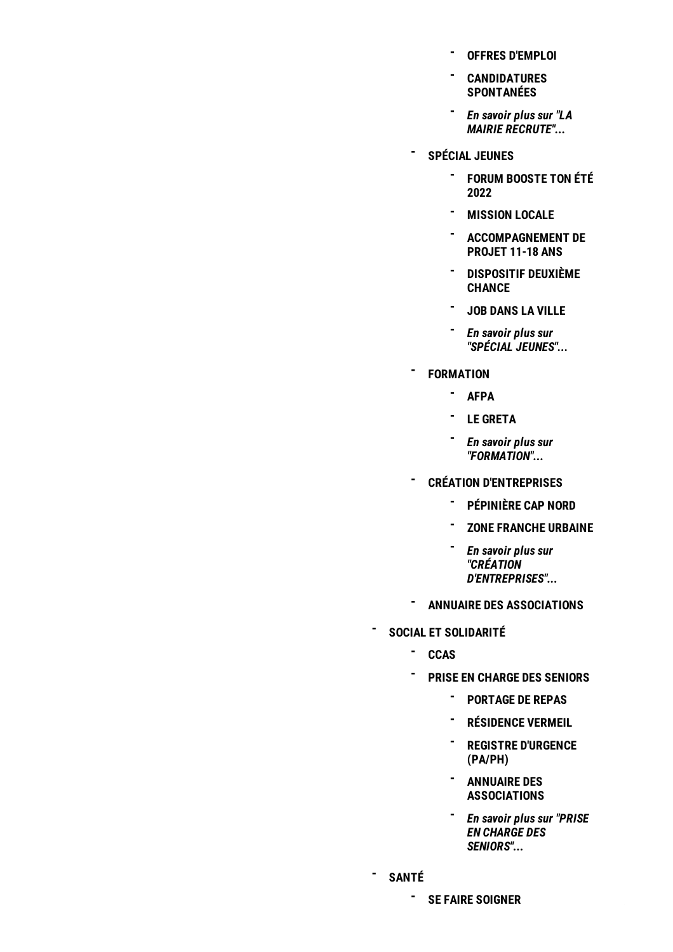- **OFFRES [D'EMPLOI](/la-mairie-recrute/offres-d-emploi-335.html) -**
- **[CANDIDATURES](/la-mairie-recrute/candidatures-spontanees-334.html) - SPONTANÉES**
- *En savoir plus sur "LA* **-** *MAIRIE [RECRUTE"...](/emploi-insertion-formation/la-mairie-recrute-333.html)*
- **[SPÉCIAL](/emploi-insertion-formation/special-jeunes-324.html) JEUNES -**
	- **FORUM [BOOSTE](/special-jeunes/forum-booste-ton-ete-2022-1593.html) TON ÉTÉ - 2022**
	- **[MISSION](/special-jeunes/mission-locale-2002.html) LOCALE -**
	- **[ACCOMPAGNEMENT](/special-jeunes/accompagnement-de-projet-11-25-ans-331.html) DE - PROJET 11-18 ANS**
	- **[DISPOSITIF](/special-jeunes/dispositif-deuxieme-chance-330.html) DEUXIÈME - CHANCE**
	- **JOB DANS LA [VILLE](/special-jeunes/job-dans-la-ville-2005.html) -**
	- *En savoir plus sur* **-** *"SPÉCIAL [JEUNES"...](/emploi-insertion-formation/special-jeunes-324.html)*
- **[FORMATION](/emploi-insertion-formation/formation-321.html) -**
	- **- [AFPA](/formation/afpa-centre-de-lyon-rillieux-323.html)**
	- **- LE [GRETA](/formation/le-greta-322.html)**
	- *En savoir plus sur* **-** *["FORMATION"...](/emploi-insertion-formation/formation-321.html)*
	- **CRÉATION [D'ENTREPRISES](/emploi-insertion-formation/creation-d-entreprises-316.html)**
		- **[PÉPINIÈRE](/creation-d-entreprises/pepiniere-cap-nord-318.html) CAP NORD -**
		- **ZONE [FRANCHE](/creation-d-entreprises/zone-franche-urbaine-317.html) URBAINE -**
		- *En savoir plus sur* **-** *"CRÉATION [D'ENTREPRISES"...](/emploi-insertion-formation/creation-d-entreprises-316.html)*
- **ANNUAIRE DES [ASSOCIATIONS](/emploi-insertion-formation/annuaire-des-associations-315.html) -**
- **SOCIAL ET [SOLIDARITÉ](/quotidien/social-et-solidarite-294.html) -**
	- **[CCAS](/social-et-solidarite/ccas-309.html) -**

**-**

- **PRISE EN CHARGE DES [SENIORS](/social-et-solidarite/prise-en-charge-des-seniors-300.html) -**
	- **[PORTAGE](/prise-en-charge-des-seniors/portage-de-repas-a-domicile-paph-305.html) DE REPAS -**
	- **[RÉSIDENCE](/prise-en-charge-des-seniors/residence-vermeil-304.html) VERMEIL -**
	- **REGISTRE [D'URGENCE](/prise-en-charge-des-seniors/registre-d-urgence-paph-301.html) (PA/PH) -**
	- **ANNUAIRE DES - [ASSOCIATIONS](/prise-en-charge-des-seniors/annuaire-des-associations-302.html)**
	- *En savoir plus sur "PRISE* **-** *EN CHARGE DES [SENIORS"...](/social-et-solidarite/prise-en-charge-des-seniors-300.html)*
- **[SANTÉ](/quotidien/sante-284.html) -**

**SE FAIRE [SOIGNER](/sante/se-faire-soigner-290.html) -**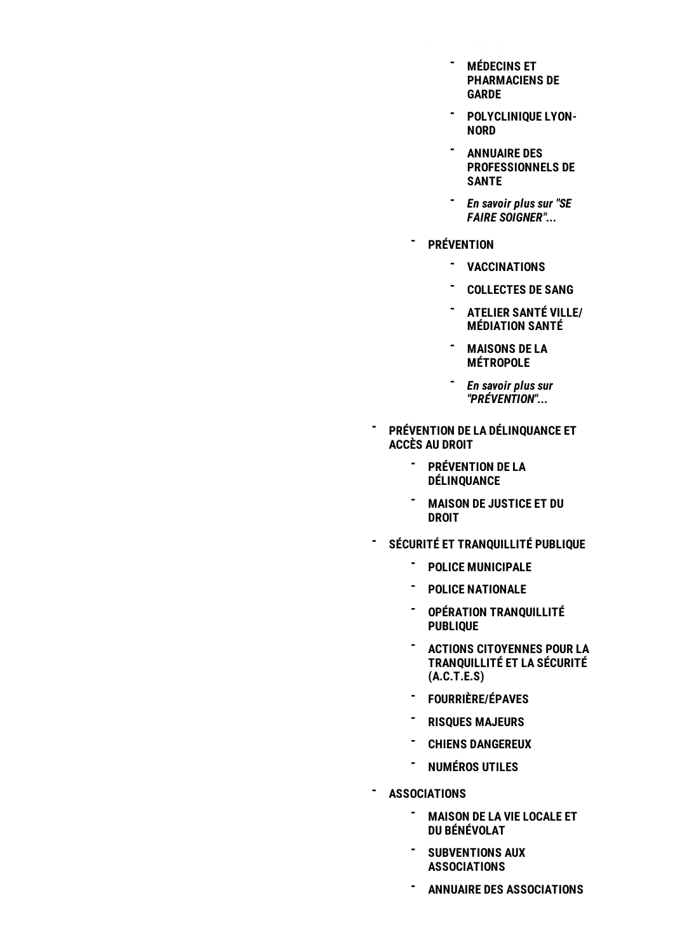**SE FAIRE SOIGNER**

- **MÉDECINS ET - [PHARMACIENS](/se-faire-soigner/medecins-et-pharmaciens-de-garde-293.html) DE GARDE**
- **[POLYCLINIQUE](/se-faire-soigner/polyclinique-lyon-nord-292.html) LYON-- NORD**
- **ANNUAIRE DES - [PROFESSIONNELS](/se-faire-soigner/annuaire-des-professionnels-de-sante-291.html) DE SANTE**
- *En savoir plus sur "SE* **-** *FAIRE [SOIGNER"...](/sante/se-faire-soigner-290.html)*
- **[PRÉVENTION](/sante/prevention-285.html) -**
	- **[VACCINATIONS](/prevention/vaccinations-289.html) -**
	- **- [COLLECTES](/prevention/collectes-de-sang-288.html) DE SANG**
	- **ATELIER SANTÉ VILLE/ - [MÉDIATION](/prevention/atelier-sante-ville-mediation-sante-287.html) SANTÉ**
	- **MAISONS DE LA - [MÉTROPOLE](/prevention/maisons-de-la-metropole-286.html)**
	- *En savoir plus sur* **-** *["PRÉVENTION"...](/sante/prevention-285.html)*
- **PRÉVENTION DE LA [DÉLINQUANCE](/quotidien/prevention-de-la-delinquance-et-acces-au-droit-2081.html) ET ACCÈS AU DROIT -**
	- **[PRÉVENTION](/prevention-de-la-delinquance-et-acces-au-droit/conseil-local-de-securite-et-de-prevention-de-la-delinquance-clspd-592.html) DE LA DÉLINQUANCE -**
	- **MAISON DE [JUSTICE](/prevention-de-la-delinquance-et-acces-au-droit/maison-de-justice-et-du-droit-2029.html) ET DU DROIT -**
- **SÉCURITÉ ET [TRANQUILLITÉ](/quotidien/securite-et-tranquillite-publique-271.html) PUBLIQUE -**
	- **POLICE [MUNICIPALE](/securite-et-tranquillite-publique/police-municipale-283.html) -**
	- **POLICE [NATIONALE](/securite-et-tranquillite-publique/police-nationale-282.html) -**
	- **OPÉRATION [TRANQUILLITÉ](/securite-et-tranquillite-publique/cambriolages-quelques-precautions-pour-les-eviter-280.html) PUBLIQUE -**
	- **ACTIONS CITOYENNES POUR LA [TRANQUILLITÉ](/securite-et-tranquillite-publique/actions-citoyennes-pour-la-tranquillite-et-la-securite-actes-278.html) ET LA SÉCURITÉ (A.C.T.E.S) -**
	- **[FOURRIÈRE/ÉPAVES](/securite-et-tranquillite-publique/fourriereepaves-276.html) -**
	- **RISQUES [MAJEURS](/securite-et-tranquillite-publique/risques-majeurs-275.html) -**
	- **CHIENS [DANGEREUX](/securite-et-tranquillite-publique/chiens-dangereux-273.html) -**
	- **[NUMÉROS](/securite-et-tranquillite-publique/numeros-utiles-272.html) UTILES -**
- **[ASSOCIATIONS](/quotidien/associations-262.html) -**
	- **MAISON DE LA VIE LOCALE ET DU [BÉNÉVOLAT](/associations/maison-de-la-vie-locale-et-du-benevolat-2178.html) -**
	- **[SUBVENTIONS](/associations/subventions-aux-associations-822.html) AUX ASSOCIATIONS -**
	- **ANNUAIRE DES [ASSOCIATIONS](/associations/annuaire-des-associations-270.html) -**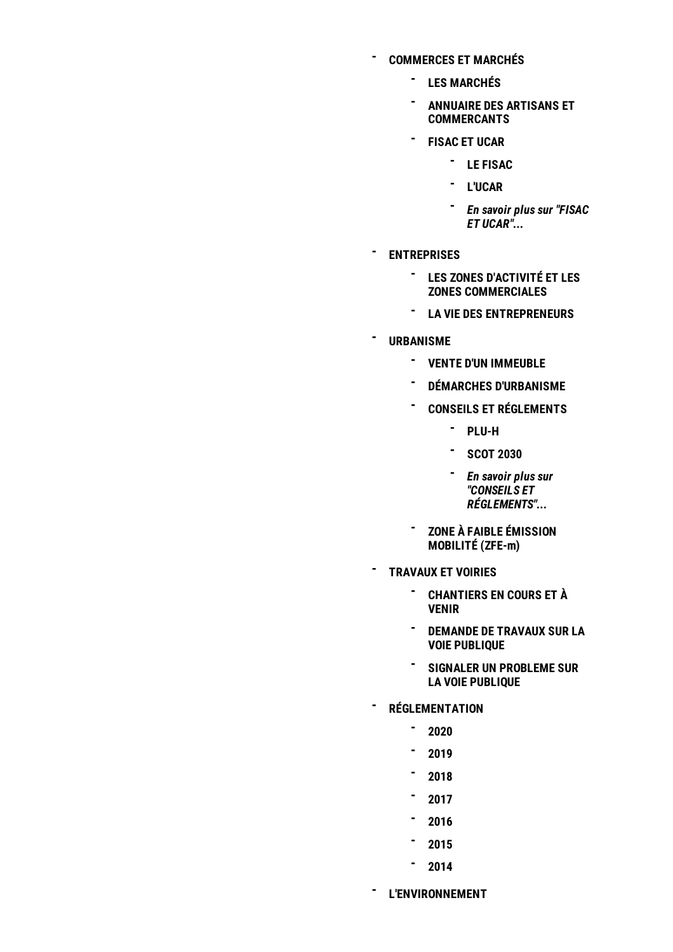**[COMMERCES](/quotidien/commerces-et-marches-256.html) ET MARCHÉS**

**-**

- **LES [MARCHÉS](/commerces-et-marches/les-marches-260.html) -**
- **ANNUAIRE DES ARTISANS ET - [COMMERCANTS](/commerces-et-marches/annuaire-des-artisans-et-commercants-259.html)**
- **[FISAC](/commerces-et-marches/fisac-et-ucar-258.html) ET UCAR -**
	- **LE [FISAC](/fisac-et-ucar/le-fisac-588.html) -**
	- **[L'UCAR](/fisac-et-ucar/l-ucar-589.html) -**
	- *En savoir plus sur "FISAC ET [UCAR"...](/commerces-et-marches/fisac-et-ucar-258.html)* **-**
- **[ENTREPRISES](/quotidien/entreprises-249.html) -**
	- **LES ZONES D'ACTIVITÉ ET LES ZONES [COMMERCIALES](/entreprises/les-zones-d-activite-et-les-zones-commerciales-254.html) -**
	- **LA VIE DES [ENTREPRENEURS](/entreprises/des-entreprises-soutenues-qui-travaillent-en-reseau-252.html) -**
- **[URBANISME](/quotidien/urbanisme-240.html) -**
	- **VENTE D'UN [IMMEUBLE](/urbanisme/vente-d-un-immeuble-2137.html) -**
	- **DÉMARCHES [D'URBANISME](/urbanisme/demarches-d-urbanisme-248.html) -**
	- **CONSEILS ET [RÉGLEMENTS](/urbanisme/conseils-et-reglements-245.html) -**
		- **- [PLU-H](/conseils-et-reglements/plu-h-247.html)**
		- **[SCOT](/conseils-et-reglements/scot-2030-246.html) 2030 -**
		- *En savoir plus sur* **-** *"CONSEILS ET [RÉGLEMENTS"...](/urbanisme/conseils-et-reglements-245.html)*
	- **ZONE À FAIBLE [ÉMISSION](/urbanisme/zone-a-faible-emission-mobilite-zfe-m-2161.html) MOBILITÉ (ZFE-m) -**
- **[TRAVAUX](/quotidien/travaux-et-voiries-233.html) ET VOIRIES -**
	- **[CHANTIERS](/travaux-et-voiries/chantiers-en-cours-et-a-venir-239.html) EN COURS ET À VENIR -**
	- **[DEMANDE](https://demarches.rillieuxlapape.fr/demarche/263/4) DE TRAVAUX SUR LA VOIE PUBLIQUE -**
	- **SIGNALER UN [PROBLEME](https://demarches.rillieuxlapape.fr/demarche/98/4) SUR - LA VOIE PUBLIQUE**
- **[RÉGLEMENTATION](/quotidien/reglementation-897.html) -**
	- **[2020](/reglementation/2020-2125.html) -**
	- **[2019](/reglementation/2019-1532.html) -**
	- **[2018](/reglementation/2018-1371.html) -**
	- **[2017](/reglementation/2017-898.html) -**
	- **[2016](/reglementation/2016-899.html) -**
	- **[2015](/reglementation/2015-900.html) -**
	- **[2014](/reglementation/2014-901.html) -**

**[L'ENVIRONNEMENT](/quotidien/l-environnement-200.html)**

**-**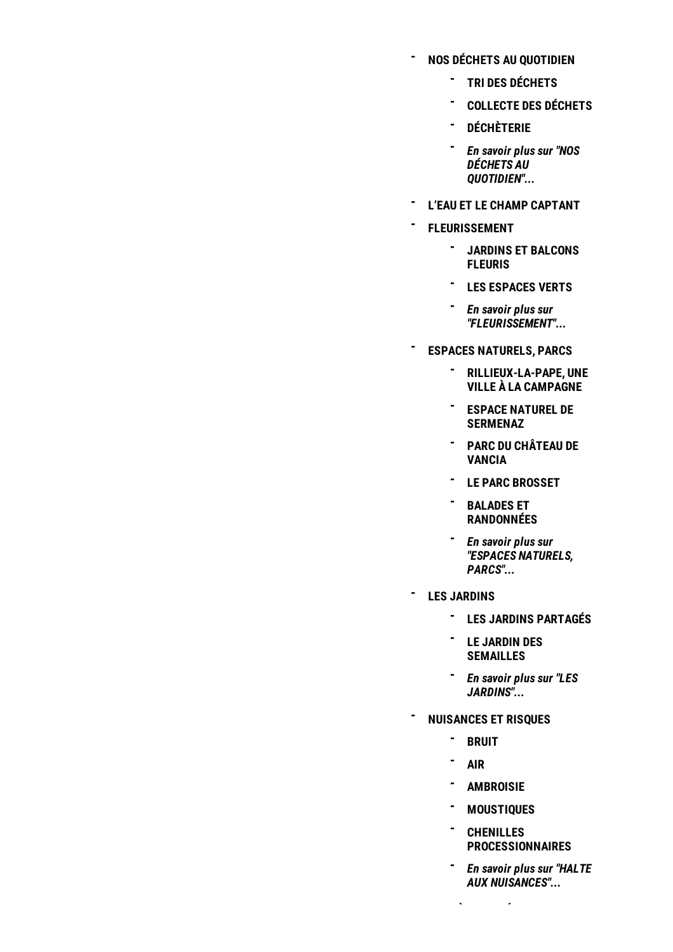- **NOS DÉCHETS AU [QUOTIDIEN](/l-environnement/nos-dechets-au-quotidien-227.html) -**
	- **TRI DES [DÉCHETS](/nos-dechets-au-quotidien/tri-des-dechets-228.html) -**
	- **[COLLECTE](/nos-dechets-au-quotidien/collecte-des-dechets-et-ramassage-des-encombrants-231.html) DES DÉCHETS -**
	- **[DÉCHÈTERIE](/nos-dechets-au-quotidien/decheterie-232.html) -**
	- *En savoir plus sur "NOS* **-** *DÉCHETS AU [QUOTIDIEN"...](/l-environnement/nos-dechets-au-quotidien-227.html)*
- **L'EAU ET LE CHAMP [CAPTANT](/l-environnement/leau-et-le-champ-captant-225.html) -**
- **[FLEURISSEMENT](/l-environnement/fleurissement-221.html) -**
	- **JARDINS ET [BALCONS](/fleurissement/jardins-et-balcons-fleuris-223.html) FLEURIS -**
	- **LES [ESPACES](/fleurissement/les-espaces-verts-222.html) VERTS -**
	- *En savoir plus sur ["FLEURISSEMENT"...](/l-environnement/fleurissement-221.html)* **-**
- **ESPACES [NATURELS,](/l-environnement/espaces-naturels-parcs-215.html) PARCS -**
	- **[RILLIEUX-LA-PAPE,](/espaces-naturels-parcs/rillieux-la-pape-une-ville-a-la-campagne-579.html) UNE - VILLE À LA CAMPAGNE**
	- **ESPACE NATUREL DE - [SERMENAZ](/espaces-naturels-parcs/espace-naturel-de-sermenaz-220.html)**
	- **PARC DU [CHÂTEAU](/espaces-naturels-parcs/parc-du-chateau-de-vancia-580.html) DE - VANCIA**
	- **LE PARC [BROSSET](/espaces-naturels-parcs/le-parc-brosset-581.html) -**
	- **BALADES ET - [RANDONNÉES](/espaces-naturels-parcs/balades-et-randonnees-582.html)**
	- *En savoir plus sur* **-** *"ESPACES [NATURELS,](/l-environnement/espaces-naturels-parcs-215.html) PARCS"...*
- **LES [JARDINS](/l-environnement/les-jardins-1485.html) -**
	- **LES JARDINS [PARTAGÉS](/les-jardins/les-jardins-partages-1487.html) -**
	- **LE JARDIN DES - [SEMAILLES](/les-jardins/le-jardin-des-semailles-1486.html)**
	- *En savoir plus sur "LES* **-** *[JARDINS"...](/l-environnement/les-jardins-1485.html)*
	- **[NUISANCES](/l-environnement/halte-aux-nuisances-202.html) ET RISQUES**
		- **[BRUIT](/halte-aux-nuisances/travaux-bruyants-de-jardinage-et-de-bricolage-209.html) -**
		- **[AIR](/halte-aux-nuisances/l-air-208.html) -**

**-**

- **[AMBROISIE](/halte-aux-nuisances/l-ambroisie-207.html) -**
- **[MOUSTIQUES](/halte-aux-nuisances/moustiques-594.html) -**

**- ZONE À FAIBLE ÉMISSION**

- **CHENILLES - [PROCESSIONNAIRES](/halte-aux-nuisances/la-chenille-processionnaire-du-pin-206.html)**
- *En savoir plus sur "HALTE* **-** *AUX [NUISANCES"...](/l-environnement/halte-aux-nuisances-202.html)*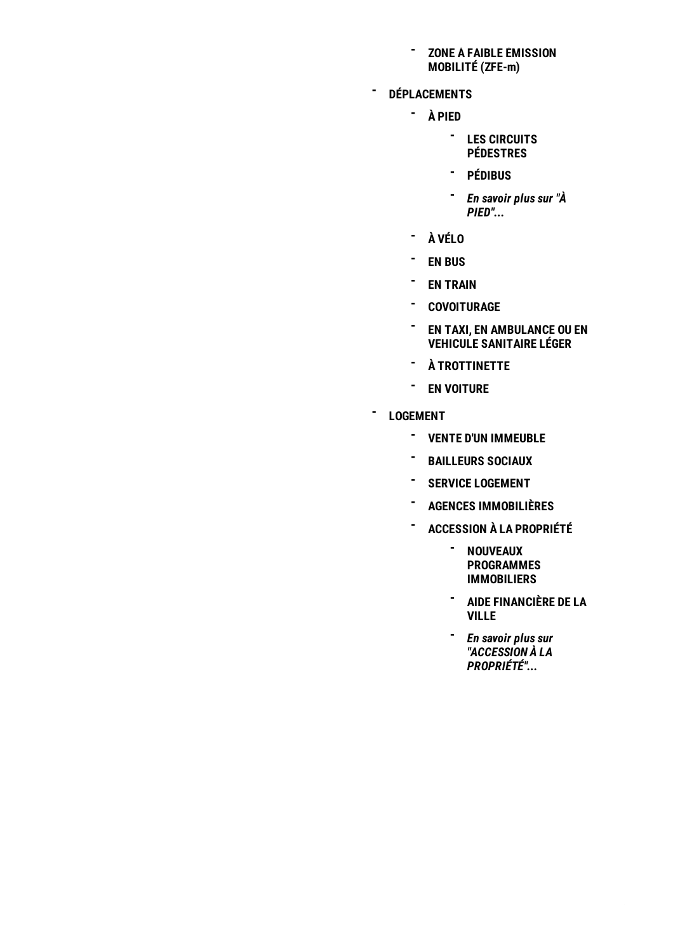#### **ZONE À FAIBLE [ÉMISSION](/l-environnement/zone-a-faible-emission-mobilite-zfe-m-2162.html) MOBILITÉ (ZFE-m) -**

- **[DÉPLACEMENTS](/quotidien/deplacements-181.html) -**
	- **À [PIED](/deplacements/a-pied-197.html) -**
		- **LES CIRCUITS - [PÉDESTRES](/a-pied/balades-et-randonnees-199.html)**
		- **[PÉDIBUS](/a-pied/pedibus-198.html) -**
		- *En savoir plus sur "À* **-** *[PIED"...](/deplacements/a-pied-197.html)*
	- **- À [VÉLO](/deplacements/a-velo-2198.html)**
	- **EN [BUS](/deplacements/en-bus-193.html) -**
	- **- EN [TRAIN](/deplacements/en-train-188.html)**
	- **[COVOITURAGE](/deplacements/covoiturage-1549.html) -**
	- **EN TAXI, EN [AMBULANCE](/deplacements/en-taxi-en-ambulance-ou-en-vehicule-sanitaire-leger-183.html) OU EN VEHICULE SANITAIRE LÉGER -**
	- **À [TROTTINETTE](/deplacements/a-trottinette-191.html) -**
	- **EN [VOITURE](/deplacements/en-voiture-186.html) -**
- **[LOGEMENT](/quotidien/logement-168.html) -**
	- **VENTE D'UN [IMMEUBLE](/logement/vente-d-un-immeuble-2139.html) -**
	- **[BAILLEURS](/logement/bailleurs-sociaux-176.html) SOCIAUX -**
	- **SERVICE [LOGEMENT](/logement/service-logement-175.html) -**
	- **AGENCES [IMMOBILIÈRES](/logement/agences-immobilieres-174.html) -**
	- **[ACCESSION](/logement/accession-a-la-propriete-170.html) À LA PROPRIÉTÉ -**
		- **NOUVEAUX - [PROGRAMMES](/accession-a-la-propriete/nouveaux-programmes-immobiliers-173.html) IMMOBILIERS**
		- **AIDE [FINANCIÈRE](/accession-a-la-propriete/aide-financiere-de-la-ville-171.html) DE LA - VILLE**
		- *En savoir plus sur* **-** *"ACCESSION À LA [PROPRIÉTÉ"...](/logement/accession-a-la-propriete-170.html)*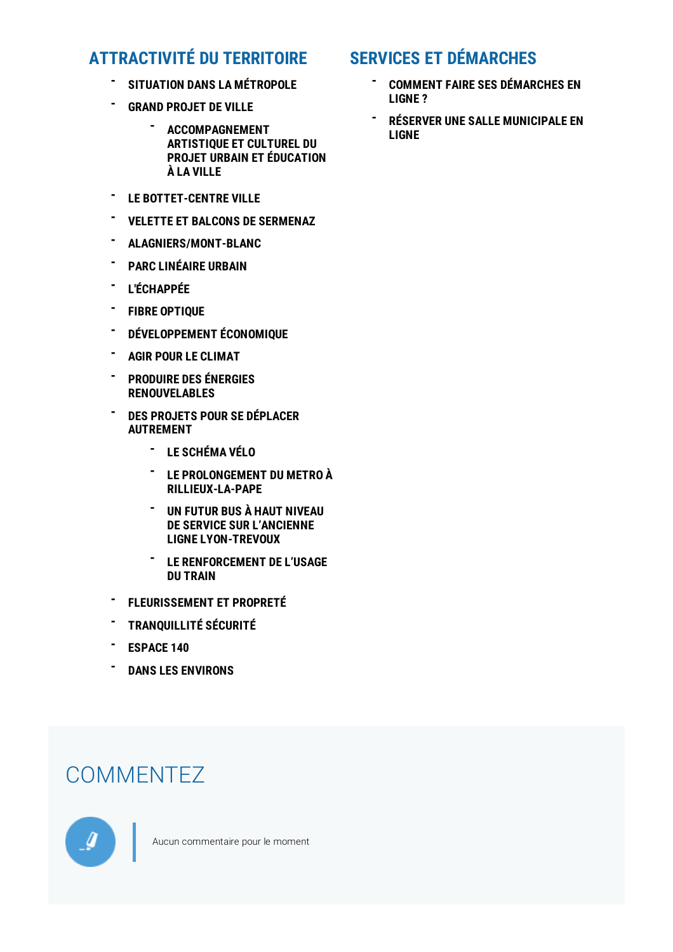## **[ATTRACTIVITÉ](/attractivite-du-territoire-513.html) DU TERRITOIRE**

- **SITUATION DANS LA [MÉTROPOLE](/attractivite-du-territoire/rillieux-la-pape-connectee-a-la-metropole-536.html) -**
- **GRAND [PROJET](/attractivite-du-territoire/grand-projet-de-ville-531.html) DE VILLE -**
	- **[ACCOMPAGNEMENT](/grand-projet-de-ville/accompagnement-artistique-et-culturel-du-projet-urbain-et-education-a-la-ville-1531.html) ARTISTIQUE ET CULTUREL DU PROJET URBAIN ET ÉDUCATION À LA VILLE -**
- **LE [BOTTET-CENTRE](/attractivite-du-territoire/bottet-vers-un-vrai-centre-ville-867.html) VILLE -**
- **VELETTE ET BALCONS DE [SERMENAZ](/attractivite-du-territoire/velette-et-balcons-de-sermenaz-le-parc-habite-868.html) -**
- **[ALAGNIERS/MONT-BLANC](/attractivite-du-territoire/alagniersmont-blanc-le-cadre-de-vie-renouvele-869.html) -**
- **- PARC [LINÉAIRE](/attractivite-du-territoire/un-espace-de-connexions-pour-le-grand-parc-lineaire-urbain-530.html) URBAIN**
- **[L'ÉCHAPPÉE](/attractivite-du-territoire/l-echappee-succede-a-l-espace-baudelaire-526.html) -**
- **FIBRE [OPTIQUE](/attractivite-du-territoire/la-fibre-optique-poursuit-son-avancee-523.html) -**
- **[DÉVELOPPEMENT](/attractivite-du-territoire/rillieux-la-pape-terre-d-entrepreneurs-519.html) ÉCONOMIQUE -**
- **AGIR POUR LE [CLIMAT](/attractivite-du-territoire/agir-pour-le-climat-518.html) -**
- **PRODUIRE DES ÉNERGIES [RENOUVELABLES](/attractivite-du-territoire/produire-des-energies-renouvelables-2205.html) -**
- **DES PROJETS POUR SE DÉPLACER [AUTREMENT](/attractivite-du-territoire/des-projets-pour-se-deplacer-autrement-2206.html) -**
	- **- LE [SCHÉMA](/des-projets-pour-se-deplacer-autrement/le-schema-velo-2214.html) VÉLO**
	- **LE [PROLONGEMENT](/des-projets-pour-se-deplacer-autrement/le-prolongement-du-metro-a-rillieux-la-pape-2213.html) DU METRO À RILLIEUX-LA-PAPE -**
	- **UN FUTUR BUS À HAUT NIVEAU DE SERVICE SUR L'ANCIENNE LIGNE [LYON-TREVOUX](/des-projets-pour-se-deplacer-autrement/un-futur-bus-a-haut-niveau-de-service-sur-lancienne-ligne-lyon-trevoux-2212.html) -**
	- **LE [RENFORCEMENT](/des-projets-pour-se-deplacer-autrement/le-renforcement-de-lusage-du-train-2211.html) DE L'USAGE DU TRAIN -**
- **[FLEURISSEMENT](/attractivite-du-territoire/agir-chaque-jour-pour-la-beaute-de-la-ville-517.html) ET PROPRETÉ -**
- **[TRANQUILLITÉ](/attractivite-du-territoire/tolerance-zero-en-matiere-de-securite-516.html) SÉCURITÉ -**
- **[ESPACE](/attractivite-du-territoire/espace-140-un-site-exemplaire-pour-tous-vos-rassemblements-514.html) 140 -**
- **DANS LES [ENVIRONS](/attractivite-du-territoire/dans-les-environs-1709.html) -**

## **COMMENTEZ**



Aucun commentaire pour le moment

## **SERVICES ET [DÉMARCHES](https://demarches.rillieuxlapape.fr/)**

- **COMMENT FAIRE SES [DÉMARCHES](/services-et-demarches/comment-faire-ses-demarches-en-ligne-896.html) EN LIGNE ? -**
- **RÉSERVER UNE SALLE [MUNICIPALE](/services-et-demarches/reserver-une-salle-municipale-en-ligne-962.html) EN LIGNE -**